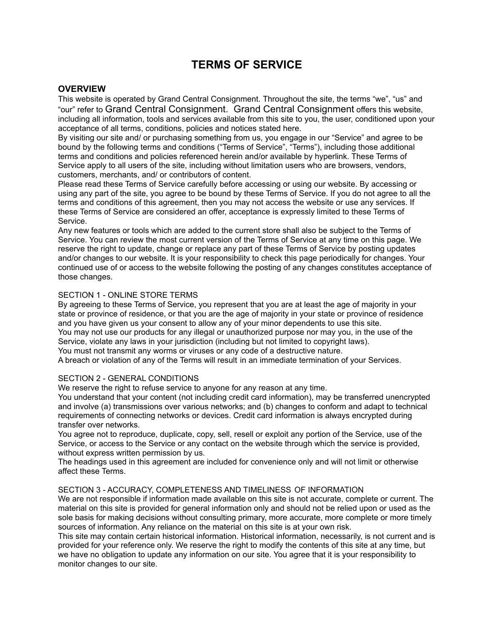# **TERMS OF SERVICE**

# **OVERVIEW**

This website is operated by Grand Central Consignment. Throughout the site, the terms "we", "us" and "our" refer to Grand Central Consignment. Grand Central Consignment offers this website, including all information, tools and services available from this site to you, the user, conditioned upon your acceptance of all terms, conditions, policies and notices stated here.

By visiting our site and/ or purchasing something from us, you engage in our "Service" and agree to be bound by the following terms and conditions ("Terms of Service", "Terms"), including those additional terms and conditions and policies referenced herein and/or available by hyperlink. These Terms of Service apply to all users of the site, including without limitation users who are browsers, vendors, customers, merchants, and/ or contributors of content.

Please read these Terms of Service carefully before accessing or using our website. By accessing or using any part of the site, you agree to be bound by these Terms of Service. If you do not agree to all the terms and conditions of this agreement, then you may not access the website or use any services. If these Terms of Service are considered an offer, acceptance is expressly limited to these Terms of Service.

Any new features or tools which are added to the current store shall also be subject to the Terms of Service. You can review the most current version of the Terms of Service at any time on this page. We reserve the right to update, change or replace any part of these Terms of Service by posting updates and/or changes to our website. It is your responsibility to check this page periodically for changes. Your continued use of or access to the website following the posting of any changes constitutes acceptance of those changes.

## SECTION 1 - ONLINE STORE TERMS

By agreeing to these Terms of Service, you represent that you are at least the age of majority in your state or province of residence, or that you are the age of majority in your state or province of residence and you have given us your consent to allow any of your minor dependents to use this site. You may not use our products for any illegal or unauthorized purpose nor may you, in the use of the Service, violate any laws in your jurisdiction (including but not limited to copyright laws). You must not transmit any worms or viruses or any code of a destructive nature.

A breach or violation of any of the Terms will result in an immediate termination of your Services.

## SECTION 2 - GENERAL CONDITIONS

We reserve the right to refuse service to anyone for any reason at any time.

You understand that your content (not including credit card information), may be transferred unencrypted and involve (a) transmissions over various networks; and (b) changes to conform and adapt to technical requirements of connecting networks or devices. Credit card information is always encrypted during transfer over networks.

You agree not to reproduce, duplicate, copy, sell, resell or exploit any portion of the Service, use of the Service, or access to the Service or any contact on the website through which the service is provided, without express written permission by us.

The headings used in this agreement are included for convenience only and will not limit or otherwise affect these Terms.

## SECTION 3 - ACCURACY, COMPLETENESS AND TIMELINESS OF INFORMATION

We are not responsible if information made available on this site is not accurate, complete or current. The material on this site is provided for general information only and should not be relied upon or used as the sole basis for making decisions without consulting primary, more accurate, more complete or more timely sources of information. Any reliance on the material on this site is at your own risk.

This site may contain certain historical information. Historical information, necessarily, is not current and is provided for your reference only. We reserve the right to modify the contents of this site at any time, but we have no obligation to update any information on our site. You agree that it is your responsibility to monitor changes to our site.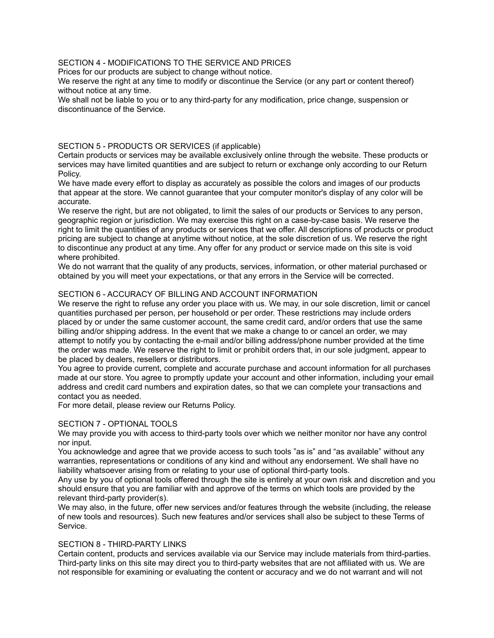# SECTION 4 - MODIFICATIONS TO THE SERVICE AND PRICES

Prices for our products are subject to change without notice.

We reserve the right at any time to modify or discontinue the Service (or any part or content thereof) without notice at any time.

We shall not be liable to you or to any third-party for any modification, price change, suspension or discontinuance of the Service.

## SECTION 5 - PRODUCTS OR SERVICES (if applicable)

Certain products or services may be available exclusively online through the website. These products or services may have limited quantities and are subject to return or exchange only according to our Return Policy.

We have made every effort to display as accurately as possible the colors and images of our products that appear at the store. We cannot guarantee that your computer monitor's display of any color will be accurate.

We reserve the right, but are not obligated, to limit the sales of our products or Services to any person, geographic region or jurisdiction. We may exercise this right on a case-by-case basis. We reserve the right to limit the quantities of any products or services that we offer. All descriptions of products or product pricing are subject to change at anytime without notice, at the sole discretion of us. We reserve the right to discontinue any product at any time. Any offer for any product or service made on this site is void where prohibited.

We do not warrant that the quality of any products, services, information, or other material purchased or obtained by you will meet your expectations, or that any errors in the Service will be corrected.

## SECTION 6 - ACCURACY OF BILLING AND ACCOUNT INFORMATION

We reserve the right to refuse any order you place with us. We may, in our sole discretion, limit or cancel quantities purchased per person, per household or per order. These restrictions may include orders placed by or under the same customer account, the same credit card, and/or orders that use the same billing and/or shipping address. In the event that we make a change to or cancel an order, we may attempt to notify you by contacting the e-mail and/or billing address/phone number provided at the time the order was made. We reserve the right to limit or prohibit orders that, in our sole judgment, appear to be placed by dealers, resellers or distributors.

You agree to provide current, complete and accurate purchase and account information for all purchases made at our store. You agree to promptly update your account and other information, including your email address and credit card numbers and expiration dates, so that we can complete your transactions and contact you as needed.

For more detail, please review our Returns Policy.

## SECTION 7 - OPTIONAL TOOLS

We may provide you with access to third-party tools over which we neither monitor nor have any control nor input.

You acknowledge and agree that we provide access to such tools "as is" and "as available" without any warranties, representations or conditions of any kind and without any endorsement. We shall have no liability whatsoever arising from or relating to your use of optional third-party tools.

Any use by you of optional tools offered through the site is entirely at your own risk and discretion and you should ensure that you are familiar with and approve of the terms on which tools are provided by the relevant third-party provider(s).

We may also, in the future, offer new services and/or features through the website (including, the release of new tools and resources). Such new features and/or services shall also be subject to these Terms of Service.

## SECTION 8 - THIRD-PARTY LINKS

Certain content, products and services available via our Service may include materials from third-parties. Third-party links on this site may direct you to third-party websites that are not affiliated with us. We are not responsible for examining or evaluating the content or accuracy and we do not warrant and will not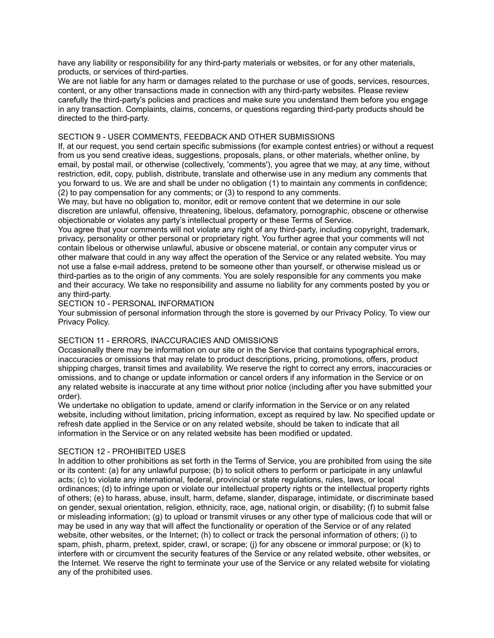have any liability or responsibility for any third-party materials or websites, or for any other materials, products, or services of third-parties.

We are not liable for any harm or damages related to the purchase or use of goods, services, resources, content, or any other transactions made in connection with any third-party websites. Please review carefully the third-party's policies and practices and make sure you understand them before you engage in any transaction. Complaints, claims, concerns, or questions regarding third-party products should be directed to the third-party.

#### SECTION 9 - USER COMMENTS, FEEDBACK AND OTHER SUBMISSIONS

If, at our request, you send certain specific submissions (for example contest entries) or without a request from us you send creative ideas, suggestions, proposals, plans, or other materials, whether online, by email, by postal mail, or otherwise (collectively, 'comments'), you agree that we may, at any time, without restriction, edit, copy, publish, distribute, translate and otherwise use in any medium any comments that you forward to us. We are and shall be under no obligation (1) to maintain any comments in confidence; (2) to pay compensation for any comments; or (3) to respond to any comments.

We may, but have no obligation to, monitor, edit or remove content that we determine in our sole discretion are unlawful, offensive, threatening, libelous, defamatory, pornographic, obscene or otherwise objectionable or violates any party's intellectual property or these Terms of Service.

You agree that your comments will not violate any right of any third-party, including copyright, trademark, privacy, personality or other personal or proprietary right. You further agree that your comments will not contain libelous or otherwise unlawful, abusive or obscene material, or contain any computer virus or other malware that could in any way affect the operation of the Service or any related website. You may not use a false e-mail address, pretend to be someone other than yourself, or otherwise mislead us or third-parties as to the origin of any comments. You are solely responsible for any comments you make and their accuracy. We take no responsibility and assume no liability for any comments posted by you or any third-party.

#### SECTION 10 - PERSONAL INFORMATION

Your submission of personal information through the store is governed by our Privacy Policy. To view our Privacy Policy.

#### SECTION 11 - ERRORS, INACCURACIES AND OMISSIONS

Occasionally there may be information on our site or in the Service that contains typographical errors, inaccuracies or omissions that may relate to product descriptions, pricing, promotions, offers, product shipping charges, transit times and availability. We reserve the right to correct any errors, inaccuracies or omissions, and to change or update information or cancel orders if any information in the Service or on any related website is inaccurate at any time without prior notice (including after you have submitted your order).

We undertake no obligation to update, amend or clarify information in the Service or on any related website, including without limitation, pricing information, except as required by law. No specified update or refresh date applied in the Service or on any related website, should be taken to indicate that all information in the Service or on any related website has been modified or updated.

## SECTION 12 - PROHIBITED USES

In addition to other prohibitions as set forth in the Terms of Service, you are prohibited from using the site or its content: (a) for any unlawful purpose; (b) to solicit others to perform or participate in any unlawful acts; (c) to violate any international, federal, provincial or state regulations, rules, laws, or local ordinances; (d) to infringe upon or violate our intellectual property rights or the intellectual property rights of others; (e) to harass, abuse, insult, harm, defame, slander, disparage, intimidate, or discriminate based on gender, sexual orientation, religion, ethnicity, race, age, national origin, or disability; (f) to submit false or misleading information; (g) to upload or transmit viruses or any other type of malicious code that will or may be used in any way that will affect the functionality or operation of the Service or of any related website, other websites, or the Internet; (h) to collect or track the personal information of others; (i) to spam, phish, pharm, pretext, spider, crawl, or scrape; (j) for any obscene or immoral purpose; or (k) to interfere with or circumvent the security features of the Service or any related website, other websites, or the Internet. We reserve the right to terminate your use of the Service or any related website for violating any of the prohibited uses.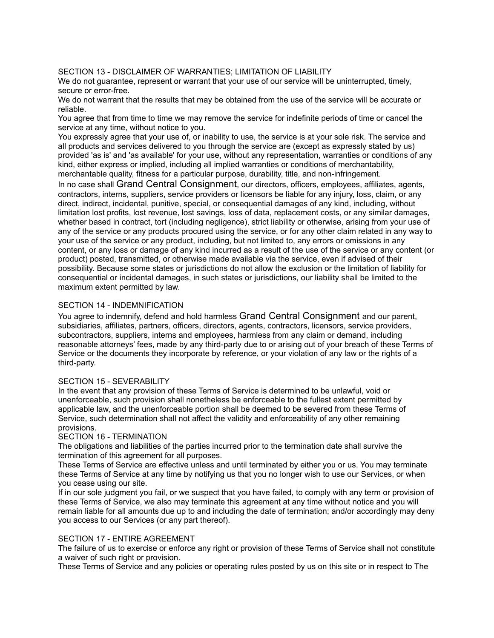SECTION 13 - DISCLAIMER OF WARRANTIES; LIMITATION OF LIABILITY

We do not guarantee, represent or warrant that your use of our service will be uninterrupted, timely, secure or error-free.

We do not warrant that the results that may be obtained from the use of the service will be accurate or reliable.

You agree that from time to time we may remove the service for indefinite periods of time or cancel the service at any time, without notice to you.

You expressly agree that your use of, or inability to use, the service is at your sole risk. The service and all products and services delivered to you through the service are (except as expressly stated by us) provided 'as is' and 'as available' for your use, without any representation, warranties or conditions of any kind, either express or implied, including all implied warranties or conditions of merchantability, merchantable quality, fitness for a particular purpose, durability, title, and non-infringement.

In no case shall Grand Central Consignment, our directors, officers, employees, affiliates, agents, contractors, interns, suppliers, service providers or licensors be liable for any injury, loss, claim, or any direct, indirect, incidental, punitive, special, or consequential damages of any kind, including, without limitation lost profits, lost revenue, lost savings, loss of data, replacement costs, or any similar damages, whether based in contract, tort (including negligence), strict liability or otherwise, arising from your use of any of the service or any products procured using the service, or for any other claim related in any way to your use of the service or any product, including, but not limited to, any errors or omissions in any content, or any loss or damage of any kind incurred as a result of the use of the service or any content (or product) posted, transmitted, or otherwise made available via the service, even if advised of their possibility. Because some states or jurisdictions do not allow the exclusion or the limitation of liability for consequential or incidental damages, in such states or jurisdictions, our liability shall be limited to the maximum extent permitted by law.

# SECTION 14 - INDEMNIFICATION

You agree to indemnify, defend and hold harmless Grand Central Consignment and our parent, subsidiaries, affiliates, partners, officers, directors, agents, contractors, licensors, service providers, subcontractors, suppliers, interns and employees, harmless from any claim or demand, including reasonable attorneys' fees, made by any third-party due to or arising out of your breach of these Terms of Service or the documents they incorporate by reference, or your violation of any law or the rights of a third-party.

## SECTION 15 - SEVERABILITY

In the event that any provision of these Terms of Service is determined to be unlawful, void or unenforceable, such provision shall nonetheless be enforceable to the fullest extent permitted by applicable law, and the unenforceable portion shall be deemed to be severed from these Terms of Service, such determination shall not affect the validity and enforceability of any other remaining provisions.

## SECTION 16 - TERMINATION

The obligations and liabilities of the parties incurred prior to the termination date shall survive the termination of this agreement for all purposes.

These Terms of Service are effective unless and until terminated by either you or us. You may terminate these Terms of Service at any time by notifying us that you no longer wish to use our Services, or when you cease using our site.

If in our sole judgment you fail, or we suspect that you have failed, to comply with any term or provision of these Terms of Service, we also may terminate this agreement at any time without notice and you will remain liable for all amounts due up to and including the date of termination; and/or accordingly may deny you access to our Services (or any part thereof).

## SECTION 17 - ENTIRE AGREEMENT

The failure of us to exercise or enforce any right or provision of these Terms of Service shall not constitute a waiver of such right or provision.

These Terms of Service and any policies or operating rules posted by us on this site or in respect to The